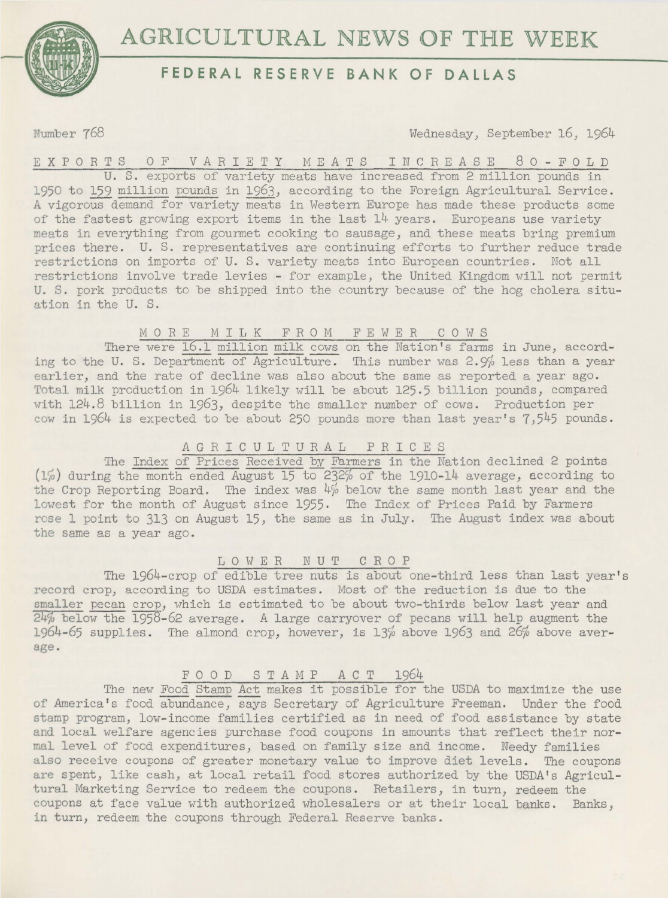



# **FEDERAL RESERVE BANK OF DALLAS**

Number 768

Wednesday, September 16, 1964

E X P 0 R T S 0 F V *A* R I E T Y M E *A* T S I N C R E *A* S E 8 0 - F 0 L D U. S. exports of variety meats have increased from 2 million pounds in 1950 to 159 million pounds in 1963, according to the Foreign Agricultural Service. A vigorous demand for variety meats in Western Europe has made these products some of the fastest growing export items in the last 14 years. Europeans use variety meats in everything from gourmet cooking to sausage, and these meats bring premium prices there. U. S. representatives are continuing efforts to further reduce trade restrictions on imports of U. S. variety meats into European countries. Not all restrictions involve trade levies - for example, the United Kingdom will not permit U. S. fork products to be shipped into the country because of the hog cholera situation in the U. S.

## MORE MILK FROM FEWER COWS

There were 16.1 million milk cows on the Nation's farms in June, according to the U. S. Department of Agriculture. This number was  $2.9\%$  less than a year earlier, and the rate of decline was also about the same as reported a year ago. Total milk production in 1964 likely will be about 125.5 billion pounds, compared with 124.8 billion in 1963, despite the smaller number of cows. Production per cow in 1964 is expected to be about 250 pounds more than last year's 7,545 pounds.

## AGRICULTURAL PRICES

The Index of Prices Received by Farmers in the Nation declined 2 points  $(1\%)$  during the month ended August 15 to 232% of the 1910-14 average, according to the Crop Reporting Board. The index was 4% below the same month last year and the lowest for the month of August since 1955. The Index of Prices Paid by Farmers rose 1 point to 313 on August 15, the same as in July. The August index was about the same as a year ago.

#### LOWER NUT CROP

The 1964-crop of edible tree nuts is about one-third less than last year's record crop, according to USDA estimates. Most of the reduction is due to the smaller pecan crop, which is estimated to be about two-thirds below last year and  $\overline{24\%}$  below the 1958-62 average. A large carryover of pecans will help augment the 1964-65 supplies. The almond crop, however, is 13% above 1963 and 26% above average.

## F 0 0 D S T *A* M P ACT 1964

The new Food Stamp Act makes it possible for the USDA to maximize the use of America's food abundance, says Secretary of Agriculture Freeman. Under the food stamp program, low-income families certified as in need of food assistance by state and local welfare agencies purchase food coupons in amounts that reflect their normal level of food expenditures, based on family size and income. Needy families also receive coupons of greater monetary value to improve diet levels. The coupons are spent, like cash, at local retail food stores authorized by the USDA's Agricultural Marketing Service to redeem the coupons. Retailers, in turn, redeem the coupons at face value with authorized wholesalers or at their local banks. Banks, in turn, redeem the coupons through Federal Reserve banks.